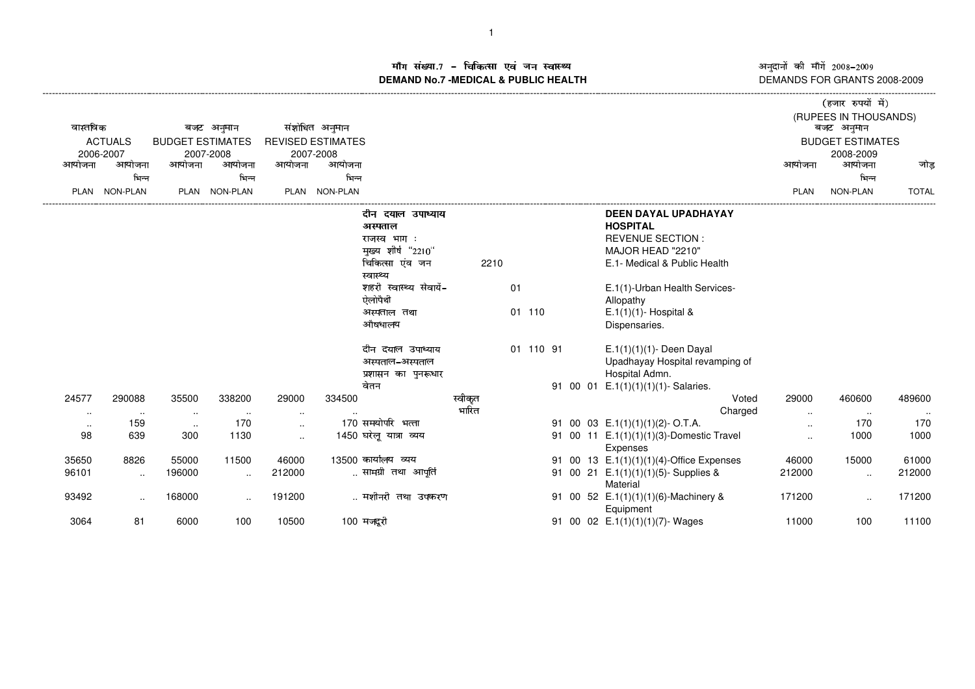म संख्या.7 – चिकित्सा एवं जन स्वास्थ्य<br>IAND No.7 -MEDICAL & DURLIC HEALTH **DEMAND No.7 -MEDICAL & PUBLIC HEALTH**

अनुदानों की माँगें 2008–2009<br>DEMANDS FOR GRANTS 2008-2009

|          |                 |                         |               |           |                          |                         |         |        |           |  |          |                                          |             | (हजार रुपयों में)       |              |
|----------|-----------------|-------------------------|---------------|-----------|--------------------------|-------------------------|---------|--------|-----------|--|----------|------------------------------------------|-------------|-------------------------|--------------|
|          |                 |                         |               |           |                          |                         |         |        |           |  |          |                                          |             | (RUPEES IN THOUSANDS)   |              |
| वास्तविक |                 |                         | बजट अनुमान    |           | संशोधित अनुमान           |                         |         |        |           |  |          |                                          |             | बजट अनुमान              |              |
|          | <b>ACTUALS</b>  | <b>BUDGET ESTIMATES</b> |               |           | <b>REVISED ESTIMATES</b> |                         |         |        |           |  |          |                                          |             | <b>BUDGET ESTIMATES</b> |              |
|          | 2006-2007       |                         | 2007-2008     |           | 2007-2008                |                         |         |        |           |  |          |                                          |             | 2008-2009               |              |
| आयोजना   | आयोजना          | आयोजना                  | आयोजना        | आयोजना    | आयोजना                   |                         |         |        |           |  |          |                                          | आयोजना      | आयोजना                  | जोड          |
|          | भिन्न           |                         | भिन्न         |           | भिन्न                    |                         |         |        |           |  |          |                                          |             | भिन्न                   |              |
| PLAN     | <b>NON-PLAN</b> |                         | PLAN NON-PLAN |           | PLAN NON-PLAN            |                         |         |        |           |  |          |                                          | <b>PLAN</b> | NON-PLAN                | <b>TOTAL</b> |
|          |                 |                         |               |           |                          | दीन दयाल उपाध्याय       |         |        |           |  |          | DEEN DAYAL UPADHAYAY                     |             |                         |              |
|          |                 |                         |               |           |                          | अस्पताल                 |         |        |           |  |          | <b>HOSPITAL</b>                          |             |                         |              |
|          |                 |                         |               |           |                          | राजस्व भाग:             |         |        |           |  |          | <b>REVENUE SECTION:</b>                  |             |                         |              |
|          |                 |                         |               |           |                          | मुख्य शीर्ष "2210"      |         |        |           |  |          | MAJOR HEAD "2210"                        |             |                         |              |
|          |                 |                         |               |           |                          | चिकित्सा एंव जन         | 2210    |        |           |  |          | E.1- Medical & Public Health             |             |                         |              |
|          |                 |                         |               |           |                          | स्वास्थ्य               |         |        |           |  |          |                                          |             |                         |              |
|          |                 |                         |               |           |                          | शहरी स्वास्थ्य सेवायें- |         | 01     |           |  |          | E.1(1)-Urban Health Services-            |             |                         |              |
|          |                 |                         |               |           |                          | ऐलोपैथी                 |         |        |           |  |          | Allopathy                                |             |                         |              |
|          |                 |                         |               |           |                          | अस्पताल तथा             |         | 01 110 |           |  |          | $E.1(1)(1)$ - Hospital &                 |             |                         |              |
|          |                 |                         |               |           |                          | औषधालय                  |         |        |           |  |          | Dispensaries.                            |             |                         |              |
|          |                 |                         |               |           |                          | दीन दयाल उपाध्याय       |         |        | 01 110 91 |  |          | $E.1(1)(1)(1)$ - Deen Dayal              |             |                         |              |
|          |                 |                         |               |           |                          | अस्पताल–अस्पताल         |         |        |           |  |          | Upadhayay Hospital revamping of          |             |                         |              |
|          |                 |                         |               |           |                          | प्रशासन का पुनरूधार     |         |        |           |  |          | Hospital Admn.                           |             |                         |              |
|          |                 |                         |               |           |                          | वेतन                    |         |        |           |  |          | 91 00 01 E.1(1)(1)(1)(1)- Salaries.      |             |                         |              |
| 24577    | 290088          | 35500                   | 338200        | 29000     | 334500                   |                         | स्वीकृत |        |           |  |          | Voted                                    | 29000       | 460600                  | 489600       |
| $\cdots$ | $\cdots$        | $\cdot$ .               | $\cdot$ .     | $\ddotsc$ |                          |                         | भारित   |        |           |  |          | Charged                                  | $\sim$      | $\sim$                  | $\ldots$     |
| $\cdots$ | 159             | $\sim$                  | 170           | $\sim$    |                          | 170 समयोपरि भत्ता       |         |        |           |  |          | 91 00 03 $E.1(1)(1)(1)(2)$ - O.T.A.      | $\sim$      | 170                     | 170          |
| 98       | 639             | 300                     | 1130          | $\sim$    |                          | 1450 घरेलू यात्रा व्यय  |         |        |           |  |          | 91 00 11 E.1(1)(1)(1)(3)-Domestic Travel | $\ddotsc$   | 1000                    | 1000         |
|          |                 |                         |               |           |                          |                         |         |        |           |  |          | Expenses                                 |             |                         |              |
| 35650    | 8826            | 55000                   | 11500         | 46000     |                          | 13500 कार्यालय व्यय     |         |        |           |  |          | 91 00 13 E.1(1)(1)(1)(4)-Office Expenses | 46000       | 15000                   | 61000        |
| 96101    | $\ldots$        | 196000                  | $\cdot$ .     | 212000    |                          | सामग्री तथा आपुर्ति     |         |        |           |  |          | 91 00 21 E.1(1)(1)(1)(5)-Supplies &      | 212000      | $\ddotsc$               | 212000       |
|          |                 |                         |               |           |                          |                         |         |        |           |  | Material |                                          |             |                         |              |
| 93492    | $\ddotsc$       | 168000                  | $\sim$        | 191200    |                          | मशीनरी तथा उपकरण        |         |        |           |  |          | 91 00 52 E.1(1)(1)(1)(6)-Machinery &     | 171200      | $\sim$                  | 171200       |
|          |                 |                         |               |           |                          |                         |         |        |           |  |          | Equipment                                |             |                         |              |
| 3064     | 81              | 6000                    | 100           | 10500     |                          | 100 मजदूरी              |         |        |           |  |          | 91 00 02 E.1(1)(1)(1)(7)-Wages           | 11000       | 100                     | 11100        |
|          |                 |                         |               |           |                          |                         |         |        |           |  |          |                                          |             |                         |              |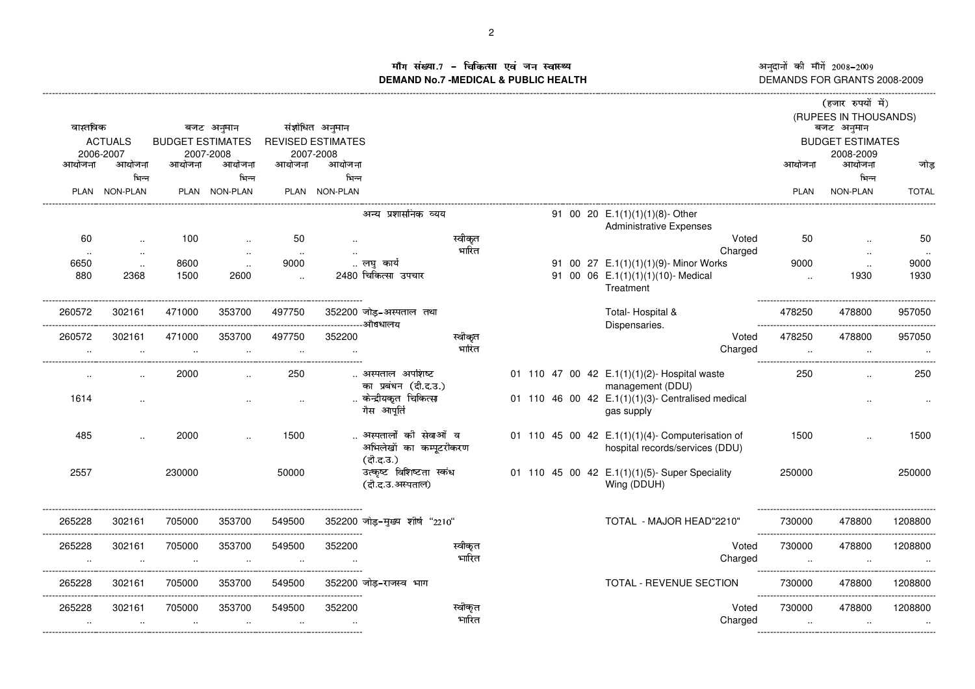अनुदानों की माँगें 2008–2009<br>DEMANDS FOR GRANTS 2008-2009

## iग संख्या.7 – चिकित्सा एवं जन स्वास्थ्य<br>IAND No.7 -MEDICAL & DURLIC HEALTH **DEMAND No.7 -MEDICAL & PUBLIC HEALTH**

|              |                      |                         |                          |              |                                    |                                                               |                  |  |  |                                                                                     |                  | (हजार रुपयों में)                     |              |
|--------------|----------------------|-------------------------|--------------------------|--------------|------------------------------------|---------------------------------------------------------------|------------------|--|--|-------------------------------------------------------------------------------------|------------------|---------------------------------------|--------------|
| वास्तविक     |                      |                         |                          |              | संशोधित अनुमान                     |                                                               |                  |  |  |                                                                                     |                  | (RUPEES IN THOUSANDS)                 |              |
|              | <b>ACTUALS</b>       | <b>BUDGET ESTIMATES</b> | बजट अनुमान               |              | <b>REVISED ESTIMATES</b>           |                                                               |                  |  |  |                                                                                     |                  | बजट अनुमान<br><b>BUDGET ESTIMATES</b> |              |
|              | 2006-2007            |                         | 2007-2008                |              | 2007-2008                          |                                                               |                  |  |  |                                                                                     |                  | 2008-2009                             |              |
| आयोजना       | आयोजना               | आयोजना                  | आयोजना                   | आयोजना       | आयोजना                             |                                                               |                  |  |  |                                                                                     | आयोजना           | आयोजना                                | जोड          |
|              | भिन्न                |                         | भिन्न                    |              | भिन्न                              |                                                               |                  |  |  |                                                                                     |                  | भिन्न                                 |              |
|              | PLAN NON-PLAN        |                         | PLAN NON-PLAN            |              | PLAN NON-PLAN                      |                                                               |                  |  |  |                                                                                     | <b>PLAN</b>      | NON-PLAN                              | <b>TOTAL</b> |
|              |                      |                         |                          |              |                                    | अन्य प्रशासनिक व्यय                                           |                  |  |  | 91 00 20 E.1(1)(1)(1)(8)-Other<br><b>Administrative Expenses</b>                    |                  |                                       |              |
| 60<br>$\sim$ | $\ddotsc$<br>$\sim$  | 100                     | $\sim$                   | 50<br>$\sim$ | $\cdot$                            |                                                               | स्वीकृत<br>भारित |  |  | Voted<br>Charged                                                                    | 50               | $\ddotsc$                             | 50<br>$\sim$ |
| 6650         | $\sim$               | 8600                    |                          | 9000         |                                    | लघु कार्य                                                     |                  |  |  | 91 00 27 E.1(1)(1)(1)(9)- Minor Works                                               | 9000             |                                       | 9000         |
| 880          | 2368                 | 1500                    | 2600                     | $\sim$       |                                    | 2480 चिकित्सा उपचार                                           |                  |  |  | 91 00 06 E.1(1)(1)(1)(10)- Medical<br>Treatment                                     | $\ldots$         | 1930                                  | 1930         |
| 260572       | 302161               | 471000                  | 353700                   | 497750       | ----------------------------औषधालय | 352200 जोड़–अस्पताल तथा                                       |                  |  |  | Total-Hospital &<br>Dispensaries.                                                   | 478250           | 478800                                | 957050       |
| 260572       | 302161               | 471000                  | 353700                   | 497750       | 352200                             |                                                               | स्वीकृत          |  |  | Voted                                                                               | 478250           | 478800                                | 957050       |
| $\ddotsc$    | $\ddot{\phantom{a}}$ | $\ddot{\phantom{a}}$    | $\ddot{\phantom{a}}$     |              | $\ddot{\phantom{a}}$               |                                                               | भारित            |  |  | Charged                                                                             | $\ddots$         | $\sim$                                | $\ddotsc$    |
| $\cdots$     |                      | 2000                    | $\ddot{\phantom{a}}$     | 250          |                                    | अस्पताल अपशिष्ट<br>का प्रबंधन (दी.द.उ.)                       |                  |  |  | 01 110 47 00 42 E.1(1)(1)(2)- Hospital waste<br>management (DDU)                    | 250              |                                       | 250          |
| 1614         | $\cdot$ .            |                         | $\ldots$                 | $\sim$       |                                    | केन्द्रीयकृत चिकित्सा<br>गैस आपूर्ति                          |                  |  |  | 01 110 46 00 42 E.1(1)(1)(3)- Centralised medical<br>gas supply                     |                  | ٠.                                    | $\cdot$ .    |
| 485          | $\cdot$              | 2000                    | $\overline{\phantom{a}}$ | 1500         |                                    | अस्पतालों की सेवाओं व<br>अभिलेखों का कम्पूटरीकरण<br>(दी.द.उ.) |                  |  |  | 01 110 45 00 42 E.1(1)(1)(4)- Computerisation of<br>hospital records/services (DDU) | 1500             |                                       | 1500         |
| 2557         |                      | 230000                  |                          | 50000        |                                    | उत्कृष्ट विशिष्टता स्कंध<br>(दी.द.उ.अस्पताल)                  |                  |  |  | 01 110 45 00 42 E.1(1)(1)(5)- Super Speciality<br>Wing (DDUH)                       | 250000           |                                       | 250000       |
| 265228       | 302161               | 705000                  | 353700                   | 549500       |                                    | 352200 जोड़–मुख्य शीर्ष "2210"                                |                  |  |  | TOTAL - MAJOR HEAD"2210"                                                            | 730000           | 478800                                | 1208800      |
| 265228       | 302161               | 705000                  | 353700                   | 549500       | 352200                             |                                                               | स्वीकृत<br>भारित |  |  | Voted<br>Charged                                                                    | 730000           | 478800                                | 1208800      |
|              | $\ddotsc$            | $\ddot{\phantom{a}}$    | $\ddot{\phantom{a}}$     |              |                                    |                                                               |                  |  |  |                                                                                     | $\ddotsc$        |                                       |              |
| 265228       | 302161               | 705000                  | 353700                   | 549500       |                                    | 352200 जोड़-राजस्व भाग                                        |                  |  |  | TOTAL - REVENUE SECTION                                                             | 730000           | 478800                                | 1208800      |
| 265228       | 302161<br>$\sim$     | 705000<br>$\sim$        | 353700<br>$\sim$         | 549500       | 352200                             |                                                               | स्वीकृत<br>भारित |  |  | Voted<br>Charged                                                                    | 730000<br>$\sim$ | 478800                                | 1208800      |
|              |                      |                         |                          |              |                                    |                                                               |                  |  |  |                                                                                     |                  |                                       |              |